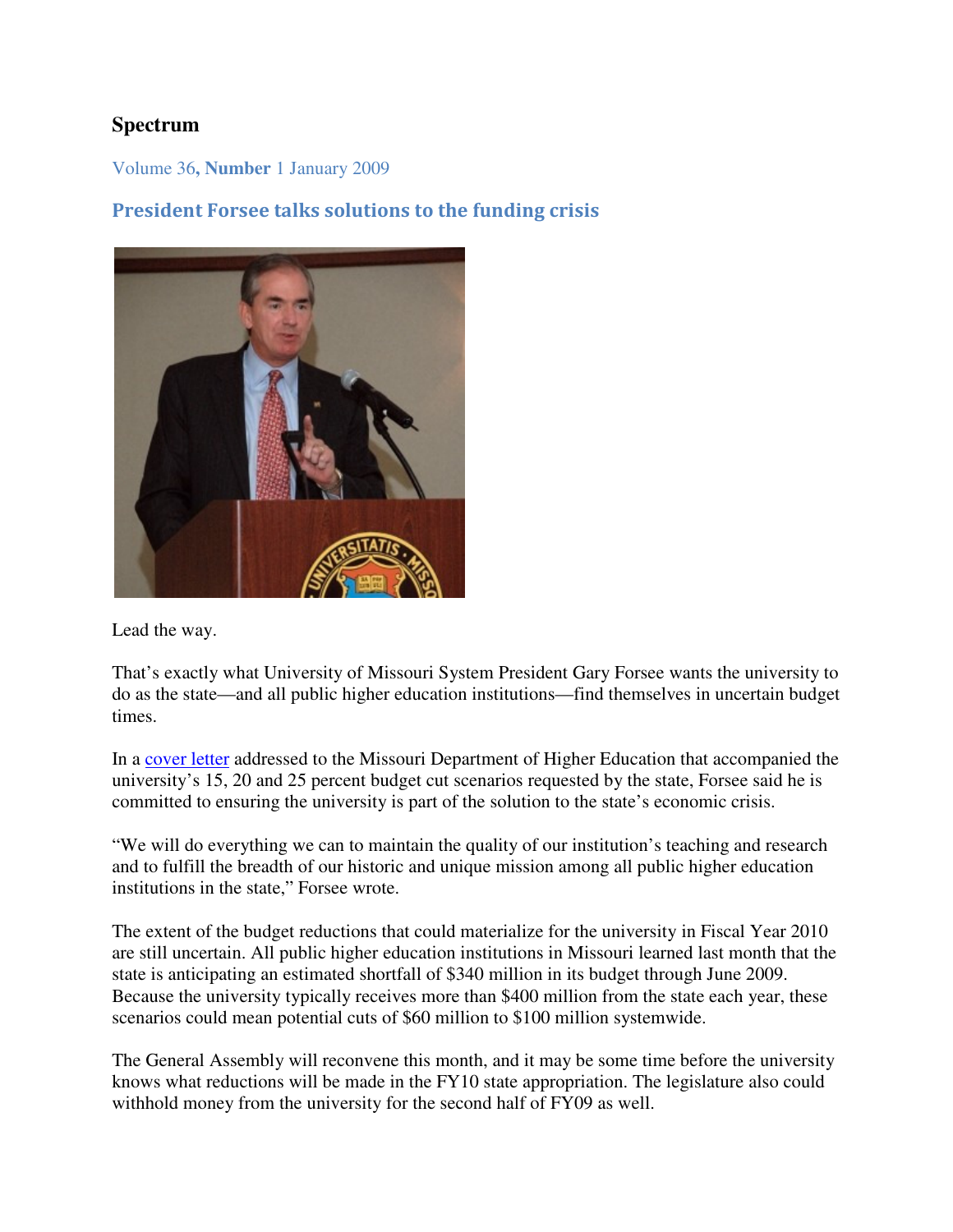# **Spectrum**

Volume 36**, Number** 1 January 2009

# President Forsee talks solutions to the funding crisis



Lead the way.

That's exactly what University of Missouri System President Gary Forsee wants the university to do as the state—and all public higher education institutions—find themselves in uncertain budget times.

In a cover letter addressed to the Missouri Department of Higher Education that accompanied the university's 15, 20 and 25 percent budget cut scenarios requested by the state, Forsee said he is committed to ensuring the university is part of the solution to the state's economic crisis.

"We will do everything we can to maintain the quality of our institution's teaching and research and to fulfill the breadth of our historic and unique mission among all public higher education institutions in the state," Forsee wrote.

The extent of the budget reductions that could materialize for the university in Fiscal Year 2010 are still uncertain. All public higher education institutions in Missouri learned last month that the state is anticipating an estimated shortfall of \$340 million in its budget through June 2009. Because the university typically receives more than \$400 million from the state each year, these scenarios could mean potential cuts of \$60 million to \$100 million systemwide.

The General Assembly will reconvene this month, and it may be some time before the university knows what reductions will be made in the FY10 state appropriation. The legislature also could withhold money from the university for the second half of FY09 as well.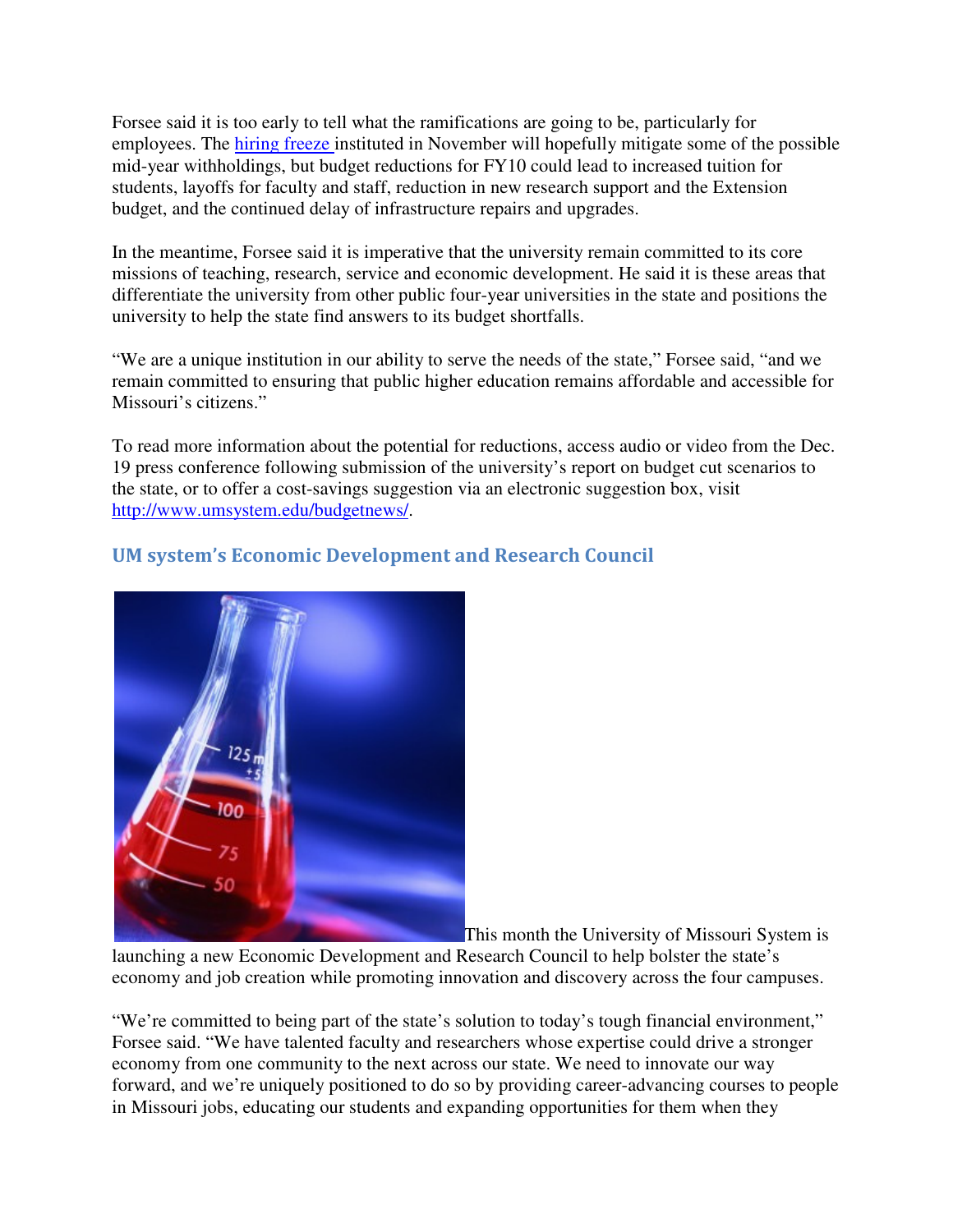Forsee said it is too early to tell what the ramifications are going to be, particularly for employees. The hiring freeze instituted in November will hopefully mitigate some of the possible mid-year withholdings, but budget reductions for FY10 could lead to increased tuition for students, layoffs for faculty and staff, reduction in new research support and the Extension budget, and the continued delay of infrastructure repairs and upgrades.

In the meantime, Forsee said it is imperative that the university remain committed to its core missions of teaching, research, service and economic development. He said it is these areas that differentiate the university from other public four-year universities in the state and positions the university to help the state find answers to its budget shortfalls.

"We are a unique institution in our ability to serve the needs of the state," Forsee said, "and we remain committed to ensuring that public higher education remains affordable and accessible for Missouri's citizens."

To read more information about the potential for reductions, access audio or video from the Dec. 19 press conference following submission of the university's report on budget cut scenarios to the state, or to offer a cost-savings suggestion via an electronic suggestion box, visit http://www.umsystem.edu/budgetnews/.



# UM system's Economic Development and Research Council

This month the University of Missouri System is

launching a new Economic Development and Research Council to help bolster the state's economy and job creation while promoting innovation and discovery across the four campuses.

"We're committed to being part of the state's solution to today's tough financial environment," Forsee said. "We have talented faculty and researchers whose expertise could drive a stronger economy from one community to the next across our state. We need to innovate our way forward, and we're uniquely positioned to do so by providing career-advancing courses to people in Missouri jobs, educating our students and expanding opportunities for them when they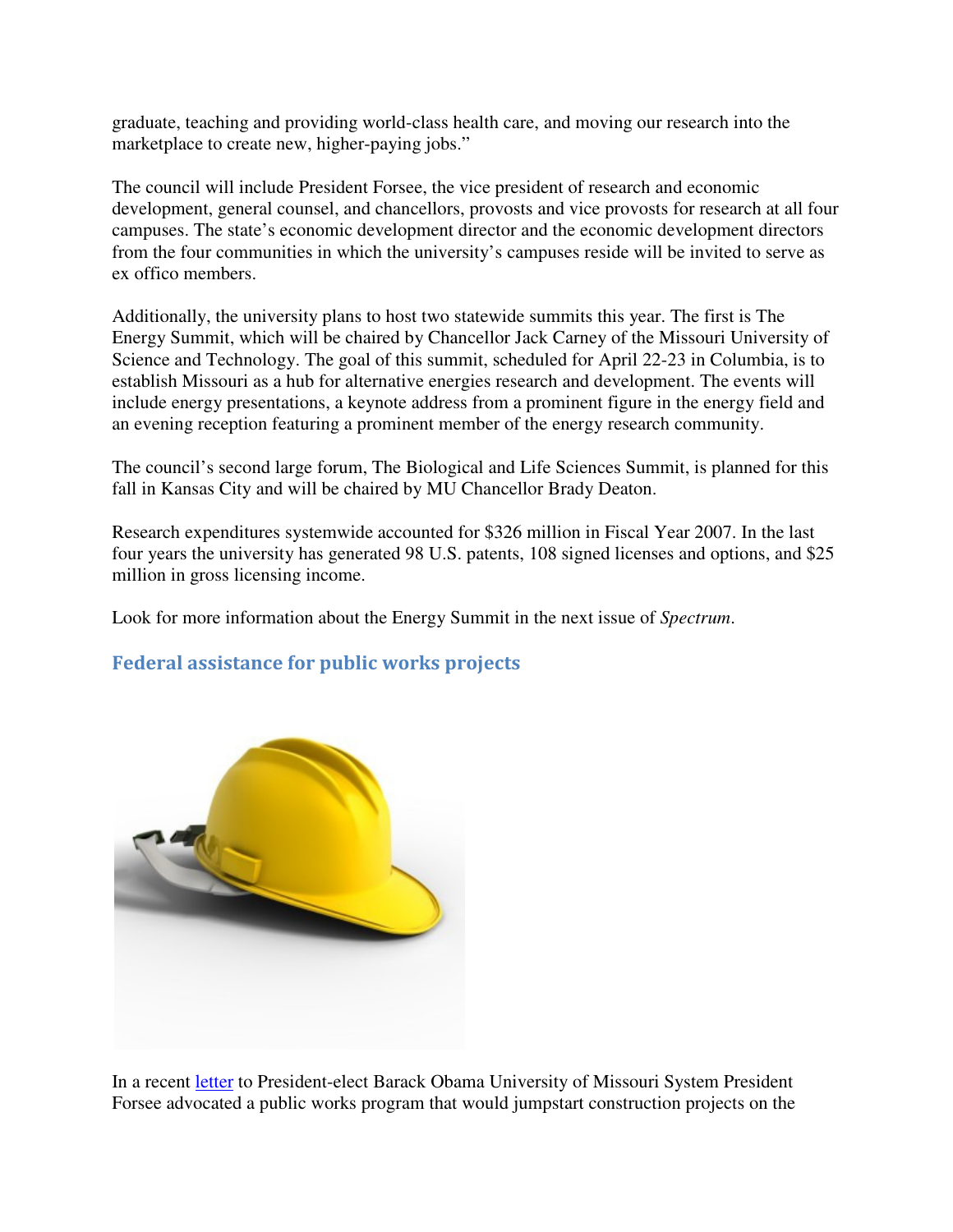graduate, teaching and providing world-class health care, and moving our research into the marketplace to create new, higher-paying jobs."

The council will include President Forsee, the vice president of research and economic development, general counsel, and chancellors, provosts and vice provosts for research at all four campuses. The state's economic development director and the economic development directors from the four communities in which the university's campuses reside will be invited to serve as ex offico members.

Additionally, the university plans to host two statewide summits this year. The first is The Energy Summit, which will be chaired by Chancellor Jack Carney of the Missouri University of Science and Technology. The goal of this summit, scheduled for April 22-23 in Columbia, is to establish Missouri as a hub for alternative energies research and development. The events will include energy presentations, a keynote address from a prominent figure in the energy field and an evening reception featuring a prominent member of the energy research community.

The council's second large forum, The Biological and Life Sciences Summit, is planned for this fall in Kansas City and will be chaired by MU Chancellor Brady Deaton.

Research expenditures systemwide accounted for \$326 million in Fiscal Year 2007. In the last four years the university has generated 98 U.S. patents, 108 signed licenses and options, and \$25 million in gross licensing income.

Look for more information about the Energy Summit in the next issue of *Spectrum*.

# Federal assistance for public works projects



In a recent letter to President-elect Barack Obama University of Missouri System President Forsee advocated a public works program that would jumpstart construction projects on the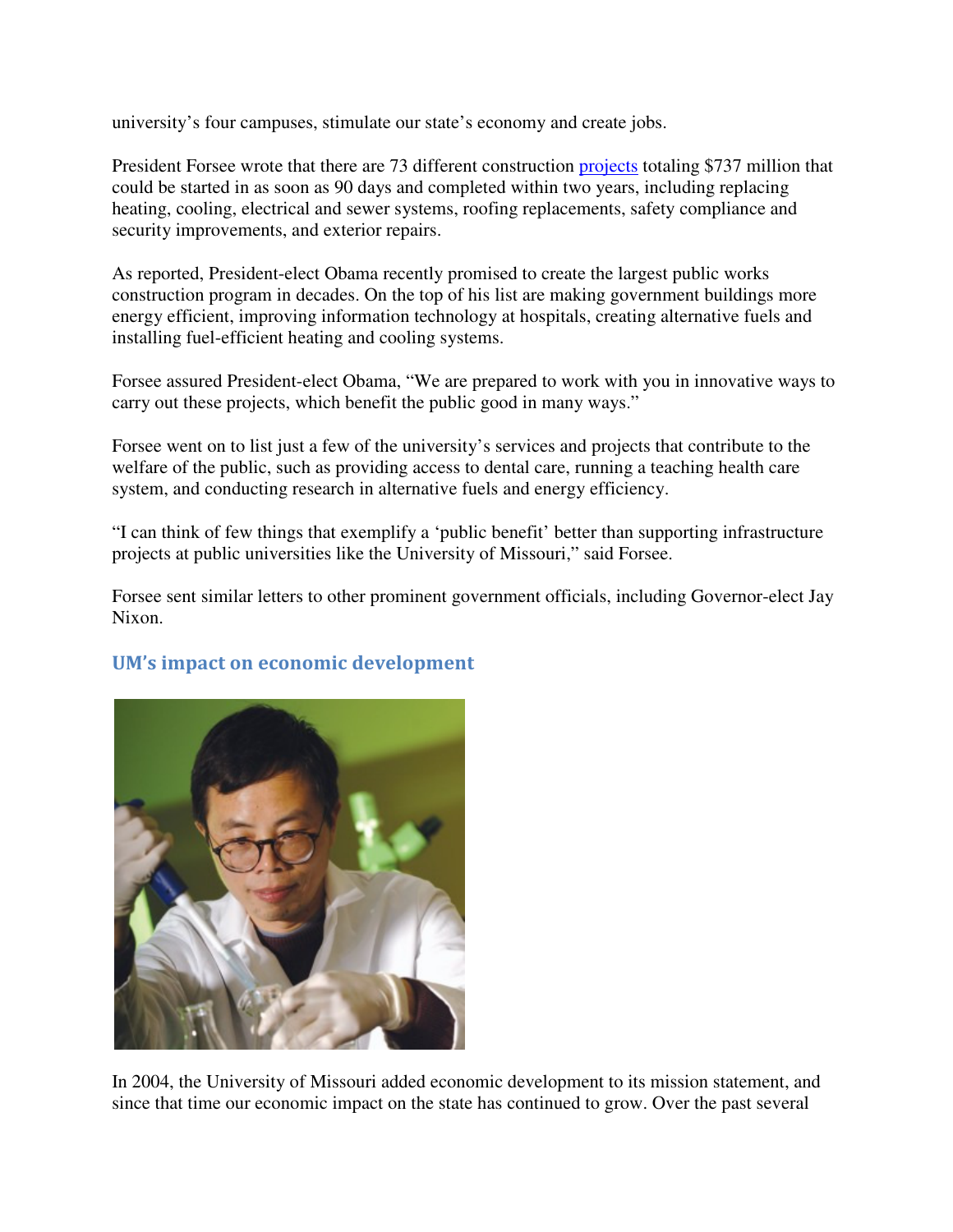university's four campuses, stimulate our state's economy and create jobs.

President Forsee wrote that there are 73 different construction projects totaling \$737 million that could be started in as soon as 90 days and completed within two years, including replacing heating, cooling, electrical and sewer systems, roofing replacements, safety compliance and security improvements, and exterior repairs.

As reported, President-elect Obama recently promised to create the largest public works construction program in decades. On the top of his list are making government buildings more energy efficient, improving information technology at hospitals, creating alternative fuels and installing fuel-efficient heating and cooling systems.

Forsee assured President-elect Obama, "We are prepared to work with you in innovative ways to carry out these projects, which benefit the public good in many ways."

Forsee went on to list just a few of the university's services and projects that contribute to the welfare of the public, such as providing access to dental care, running a teaching health care system, and conducting research in alternative fuels and energy efficiency.

"I can think of few things that exemplify a 'public benefit' better than supporting infrastructure projects at public universities like the University of Missouri," said Forsee.

Forsee sent similar letters to other prominent government officials, including Governor-elect Jay Nixon.





In 2004, the University of Missouri added economic development to its mission statement, and since that time our economic impact on the state has continued to grow. Over the past several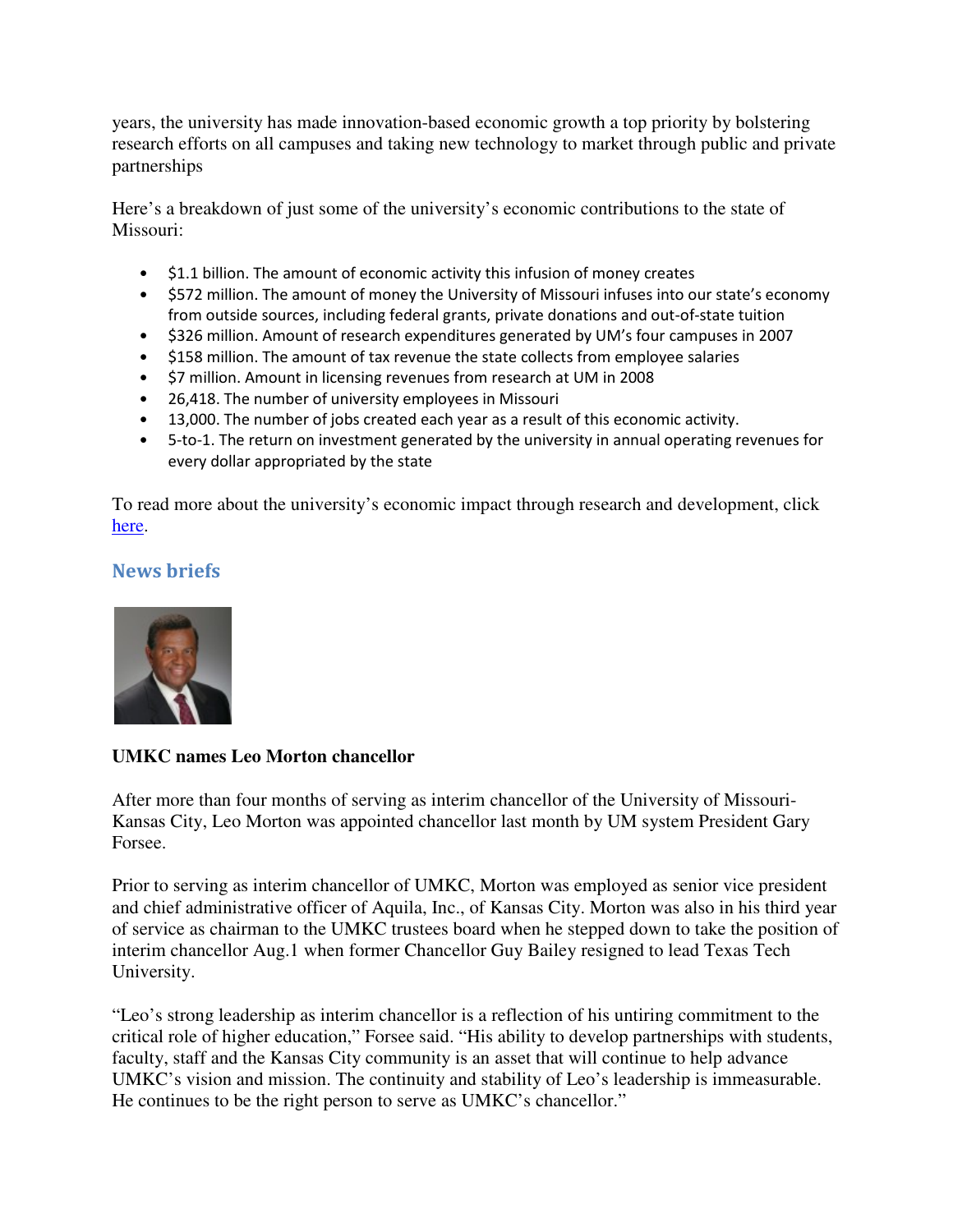years, the university has made innovation-based economic growth a top priority by bolstering research efforts on all campuses and taking new technology to market through public and private partnerships

Here's a breakdown of just some of the university's economic contributions to the state of Missouri:

- \$1.1 billion. The amount of economic activity this infusion of money creates
- \$572 million. The amount of money the University of Missouri infuses into our state's economy from outside sources, including federal grants, private donations and out-of-state tuition
- \$326 million. Amount of research expenditures generated by UM's four campuses in 2007
- \$158 million. The amount of tax revenue the state collects from employee salaries
- \$7 million. Amount in licensing revenues from research at UM in 2008
- 26,418. The number of university employees in Missouri
- 13,000. The number of jobs created each year as a result of this economic activity.
- 5-to-1. The return on investment generated by the university in annual operating revenues for every dollar appropriated by the state

To read more about the university's economic impact through research and development, click here.

### News briefs



### **UMKC names Leo Morton chancellor**

After more than four months of serving as interim chancellor of the University of Missouri-Kansas City, Leo Morton was appointed chancellor last month by UM system President Gary Forsee.

Prior to serving as interim chancellor of UMKC, Morton was employed as senior vice president and chief administrative officer of Aquila, Inc., of Kansas City. Morton was also in his third year of service as chairman to the UMKC trustees board when he stepped down to take the position of interim chancellor Aug.1 when former Chancellor Guy Bailey resigned to lead Texas Tech University.

"Leo's strong leadership as interim chancellor is a reflection of his untiring commitment to the critical role of higher education," Forsee said. "His ability to develop partnerships with students, faculty, staff and the Kansas City community is an asset that will continue to help advance UMKC's vision and mission. The continuity and stability of Leo's leadership is immeasurable. He continues to be the right person to serve as UMKC's chancellor."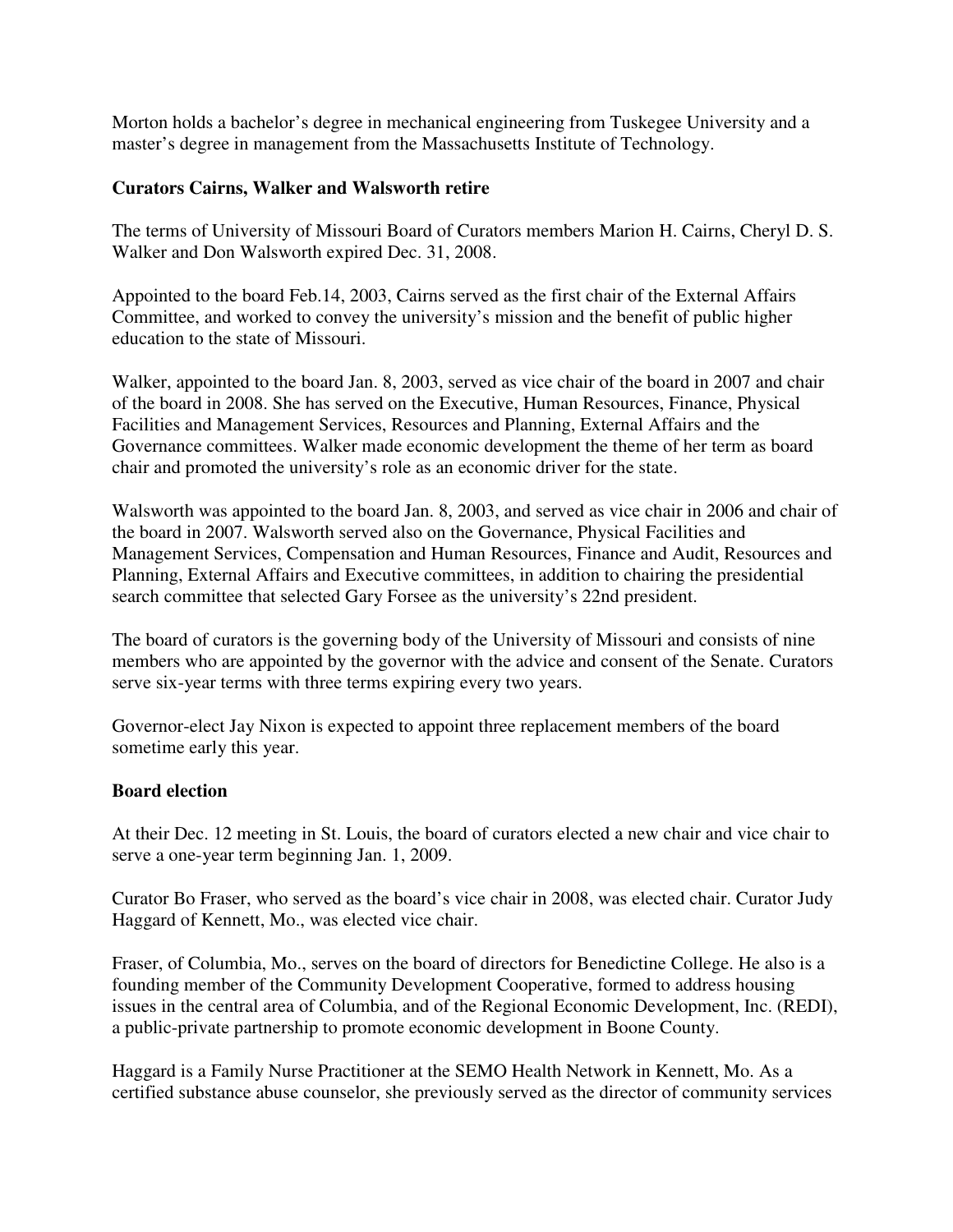Morton holds a bachelor's degree in mechanical engineering from Tuskegee University and a master's degree in management from the Massachusetts Institute of Technology.

#### **Curators Cairns, Walker and Walsworth retire**

The terms of University of Missouri Board of Curators members Marion H. Cairns, Cheryl D. S. Walker and Don Walsworth expired Dec. 31, 2008.

Appointed to the board Feb.14, 2003, Cairns served as the first chair of the External Affairs Committee, and worked to convey the university's mission and the benefit of public higher education to the state of Missouri.

Walker, appointed to the board Jan. 8, 2003, served as vice chair of the board in 2007 and chair of the board in 2008. She has served on the Executive, Human Resources, Finance, Physical Facilities and Management Services, Resources and Planning, External Affairs and the Governance committees. Walker made economic development the theme of her term as board chair and promoted the university's role as an economic driver for the state.

Walsworth was appointed to the board Jan. 8, 2003, and served as vice chair in 2006 and chair of the board in 2007. Walsworth served also on the Governance, Physical Facilities and Management Services, Compensation and Human Resources, Finance and Audit, Resources and Planning, External Affairs and Executive committees, in addition to chairing the presidential search committee that selected Gary Forsee as the university's 22nd president.

The board of curators is the governing body of the University of Missouri and consists of nine members who are appointed by the governor with the advice and consent of the Senate. Curators serve six-year terms with three terms expiring every two years.

Governor-elect Jay Nixon is expected to appoint three replacement members of the board sometime early this year.

#### **Board election**

At their Dec. 12 meeting in St. Louis, the board of curators elected a new chair and vice chair to serve a one-year term beginning Jan. 1, 2009.

Curator Bo Fraser, who served as the board's vice chair in 2008, was elected chair. Curator Judy Haggard of Kennett, Mo., was elected vice chair.

Fraser, of Columbia, Mo., serves on the board of directors for Benedictine College. He also is a founding member of the Community Development Cooperative, formed to address housing issues in the central area of Columbia, and of the Regional Economic Development, Inc. (REDI), a public-private partnership to promote economic development in Boone County.

Haggard is a Family Nurse Practitioner at the SEMO Health Network in Kennett, Mo. As a certified substance abuse counselor, she previously served as the director of community services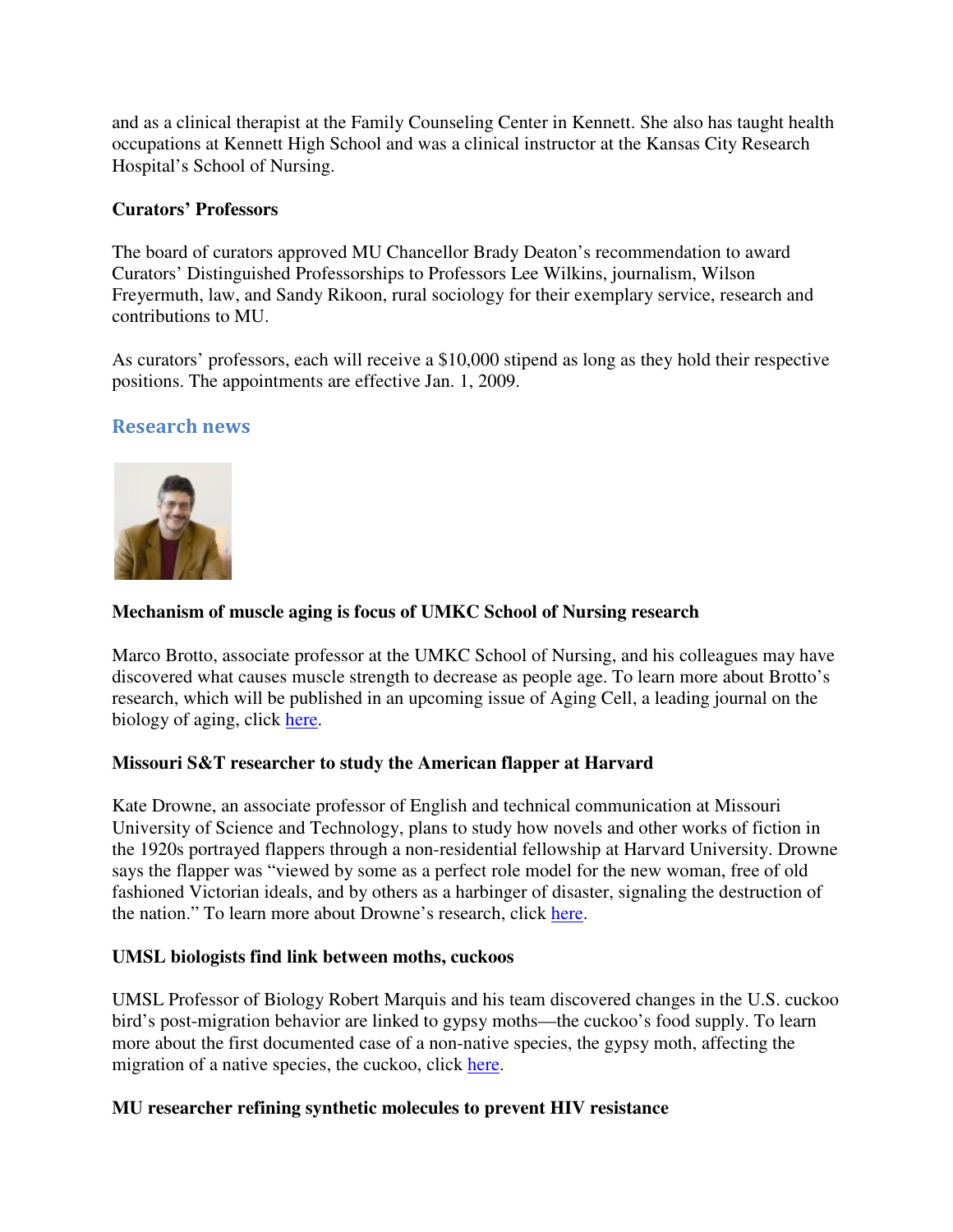and as a clinical therapist at the Family Counseling Center in Kennett. She also has taught health occupations at Kennett High School and was a clinical instructor at the Kansas City Research Hospital's School of Nursing.

### **Curators' Professors**

The board of curators approved MU Chancellor Brady Deaton's recommendation to award Curators' Distinguished Professorships to Professors Lee Wilkins, journalism, Wilson Freyermuth, law, and Sandy Rikoon, rural sociology for their exemplary service, research and contributions to MU.

As curators' professors, each will receive a \$10,000 stipend as long as they hold their respective positions. The appointments are effective Jan. 1, 2009.

# Research news



### **Mechanism of muscle aging is focus of UMKC School of Nursing research**

Marco Brotto, associate professor at the UMKC School of Nursing, and his colleagues may have discovered what causes muscle strength to decrease as people age. To learn more about Brotto's research, which will be published in an upcoming issue of Aging Cell, a leading journal on the biology of aging, click here.

### **Missouri S&T researcher to study the American flapper at Harvard**

Kate Drowne, an associate professor of English and technical communication at Missouri University of Science and Technology, plans to study how novels and other works of fiction in the 1920s portrayed flappers through a non-residential fellowship at Harvard University. Drowne says the flapper was "viewed by some as a perfect role model for the new woman, free of old fashioned Victorian ideals, and by others as a harbinger of disaster, signaling the destruction of the nation." To learn more about Drowne's research, click here.

### **UMSL biologists find link between moths, cuckoos**

UMSL Professor of Biology Robert Marquis and his team discovered changes in the U.S. cuckoo bird's post-migration behavior are linked to gypsy moths—the cuckoo's food supply. To learn more about the first documented case of a non-native species, the gypsy moth, affecting the migration of a native species, the cuckoo, click here.

### **MU researcher refining synthetic molecules to prevent HIV resistance**